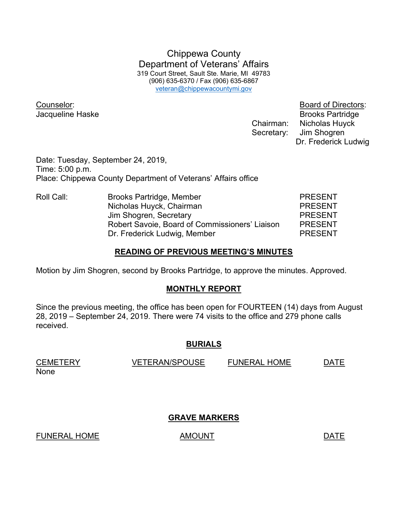Chippewa County Department of Veterans' Affairs 319 Court Street, Sault Ste. Marie, MI 49783 (906) 635-6370 / Fax (906) 635-6867 veteran@chippewacountymi.gov

Counselor: Board of Directors:

**Jacqueline Haske** Brooks Partridge Chairman: Nicholas Huyck Secretary: Jim Shogren Dr. Frederick Ludwig

Date: Tuesday, September 24, 2019, Time: 5:00 p.m. Place: Chippewa County Department of Veterans' Affairs office

Roll Call: Brooks Partridge, Member PRESENT Nicholas Huyck, Chairman **PRESENT** Jim Shogren, Secretary **PRESENT**  Robert Savoie, Board of Commissioners' Liaison PRESENT Dr. Frederick Ludwig, Member PRESENT

## READING OF PREVIOUS MEETING'S MINUTES

Motion by Jim Shogren, second by Brooks Partridge, to approve the minutes. Approved.

# MONTHLY REPORT

Since the previous meeting, the office has been open for FOURTEEN (14) days from August 28, 2019 – September 24, 2019. There were 74 visits to the office and 279 phone calls received.

## BURIALS

CEMETERY VETERAN/SPOUSE FUNERAL HOME DATE None

# GRAVE MARKERS

FUNERAL HOME AMOUNT AMOUNT